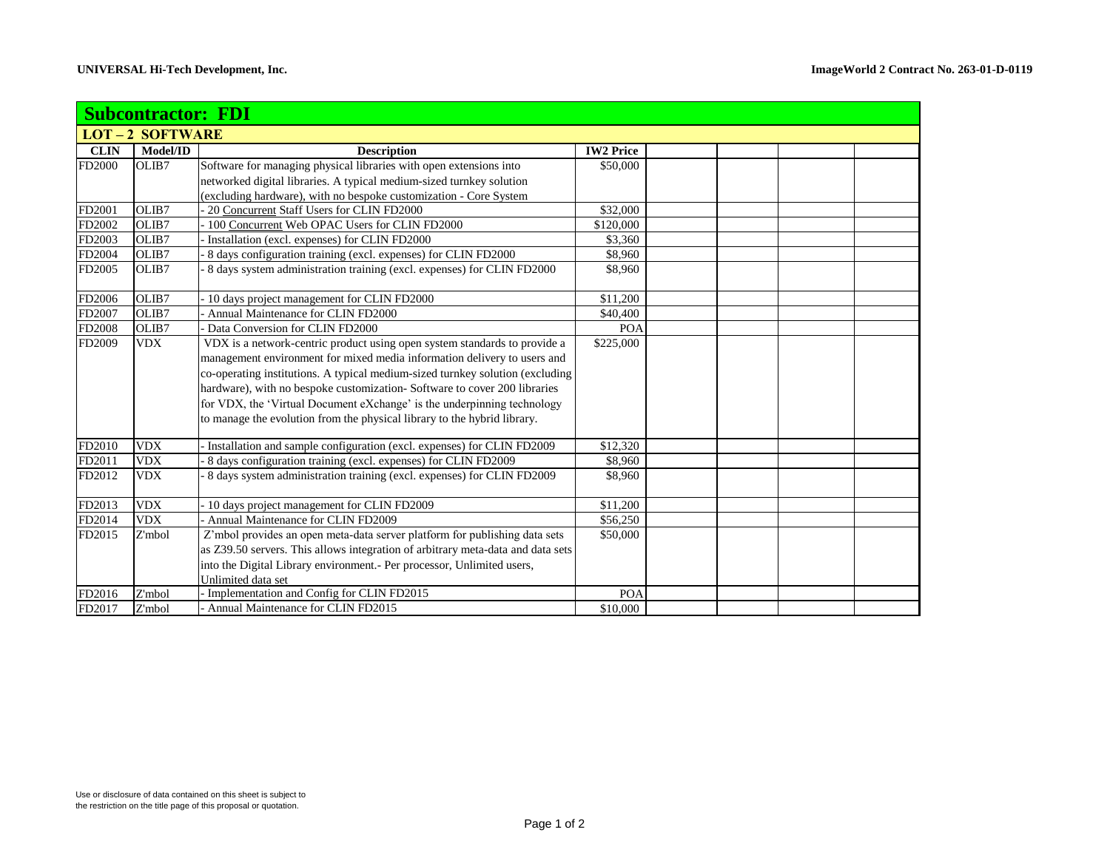| <b>Subcontractor: FDI</b> |            |                                                                                 |                  |  |  |  |  |  |  |  |
|---------------------------|------------|---------------------------------------------------------------------------------|------------------|--|--|--|--|--|--|--|
| <b>LOT-2 SOFTWARE</b>     |            |                                                                                 |                  |  |  |  |  |  |  |  |
| <b>CLIN</b>               | Model/ID   | <b>Description</b>                                                              | <b>IW2 Price</b> |  |  |  |  |  |  |  |
| FD2000                    | OLIB7      | Software for managing physical libraries with open extensions into              | \$50,000         |  |  |  |  |  |  |  |
|                           |            | networked digital libraries. A typical medium-sized turnkey solution            |                  |  |  |  |  |  |  |  |
|                           |            | (excluding hardware), with no bespoke customization - Core System               |                  |  |  |  |  |  |  |  |
| FD2001                    | OLIB7      | - 20 Concurrent Staff Users for CLIN FD2000                                     | \$32,000         |  |  |  |  |  |  |  |
| FD2002                    | OLIB7      | 100 Concurrent Web OPAC Users for CLIN FD2000                                   | \$120,000        |  |  |  |  |  |  |  |
| FD2003                    | OLIB7      | Installation (excl. expenses) for CLIN FD2000                                   | \$3,360          |  |  |  |  |  |  |  |
| FD2004                    | OLIB7      | - 8 days configuration training (excl. expenses) for CLIN FD2000                | \$8,960          |  |  |  |  |  |  |  |
| FD2005                    | OLIB7      | - 8 days system administration training (excl. expenses) for CLIN FD2000        | \$8,960          |  |  |  |  |  |  |  |
| FD2006                    | OLIB7      | - 10 days project management for CLIN FD2000                                    | \$11,200         |  |  |  |  |  |  |  |
| FD2007                    | OLIB7      | Annual Maintenance for CLIN FD2000                                              | \$40,400         |  |  |  |  |  |  |  |
| FD2008                    | OLIB7      | Data Conversion for CLIN FD2000                                                 | POA              |  |  |  |  |  |  |  |
| FD2009                    | <b>VDX</b> | VDX is a network-centric product using open system standards to provide a       | \$225,000        |  |  |  |  |  |  |  |
|                           |            | management environment for mixed media information delivery to users and        |                  |  |  |  |  |  |  |  |
|                           |            | co-operating institutions. A typical medium-sized turnkey solution (excluding   |                  |  |  |  |  |  |  |  |
|                           |            | hardware), with no bespoke customization-Software to cover 200 libraries        |                  |  |  |  |  |  |  |  |
|                           |            | for VDX, the 'Virtual Document eXchange' is the underpinning technology         |                  |  |  |  |  |  |  |  |
|                           |            | to manage the evolution from the physical library to the hybrid library.        |                  |  |  |  |  |  |  |  |
| FD2010                    | <b>VDX</b> | Installation and sample configuration (excl. expenses) for CLIN FD2009          | \$12,320         |  |  |  |  |  |  |  |
| FD2011                    | <b>VDX</b> | 8 days configuration training (excl. expenses) for CLIN FD2009                  | \$8,960          |  |  |  |  |  |  |  |
| FD2012                    | <b>VDX</b> | - 8 days system administration training (excl. expenses) for CLIN FD2009        | \$8,960          |  |  |  |  |  |  |  |
| FD2013                    | <b>VDX</b> | - 10 days project management for CLIN FD2009                                    | \$11,200         |  |  |  |  |  |  |  |
| FD2014                    | <b>VDX</b> | Annual Maintenance for CLIN FD2009                                              | \$56,250         |  |  |  |  |  |  |  |
| FD2015                    | Z'mbol     | Z'mbol provides an open meta-data server platform for publishing data sets      | \$50,000         |  |  |  |  |  |  |  |
|                           |            | as Z39.50 servers. This allows integration of arbitrary meta-data and data sets |                  |  |  |  |  |  |  |  |
|                           |            | into the Digital Library environment.- Per processor, Unlimited users,          |                  |  |  |  |  |  |  |  |
|                           |            | Unlimited data set                                                              |                  |  |  |  |  |  |  |  |
| FD2016                    | Z'mbol     | - Implementation and Config for CLIN FD2015                                     | POA              |  |  |  |  |  |  |  |
| FD2017                    | Z'mbol     | - Annual Maintenance for CLIN FD2015                                            | \$10,000         |  |  |  |  |  |  |  |